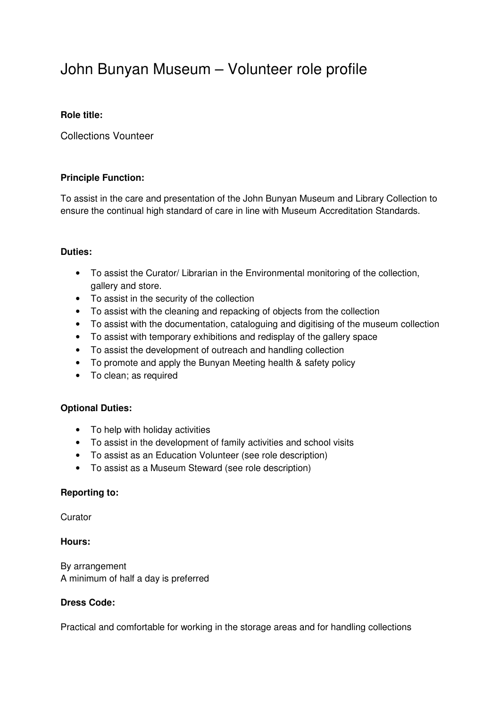# John Bunyan Museum – Volunteer role profile

# **Role title:**

Collections Vounteer

# **Principle Function:**

To assist in the care and presentation of the John Bunyan Museum and Library Collection to ensure the continual high standard of care in line with Museum Accreditation Standards.

#### **Duties:**

- To assist the Curator/ Librarian in the Environmental monitoring of the collection, gallery and store.
- To assist in the security of the collection
- To assist with the cleaning and repacking of objects from the collection
- To assist with the documentation, cataloguing and digitising of the museum collection
- To assist with temporary exhibitions and redisplay of the gallery space
- To assist the development of outreach and handling collection
- To promote and apply the Bunyan Meeting health & safety policy
- To clean; as required

# **Optional Duties:**

- To help with holiday activities
- To assist in the development of family activities and school visits
- To assist as an Education Volunteer (see role description)
- To assist as a Museum Steward (see role description)

# **Reporting to:**

**Curator** 

#### **Hours:**

By arrangement A minimum of half a day is preferred

#### **Dress Code:**

Practical and comfortable for working in the storage areas and for handling collections